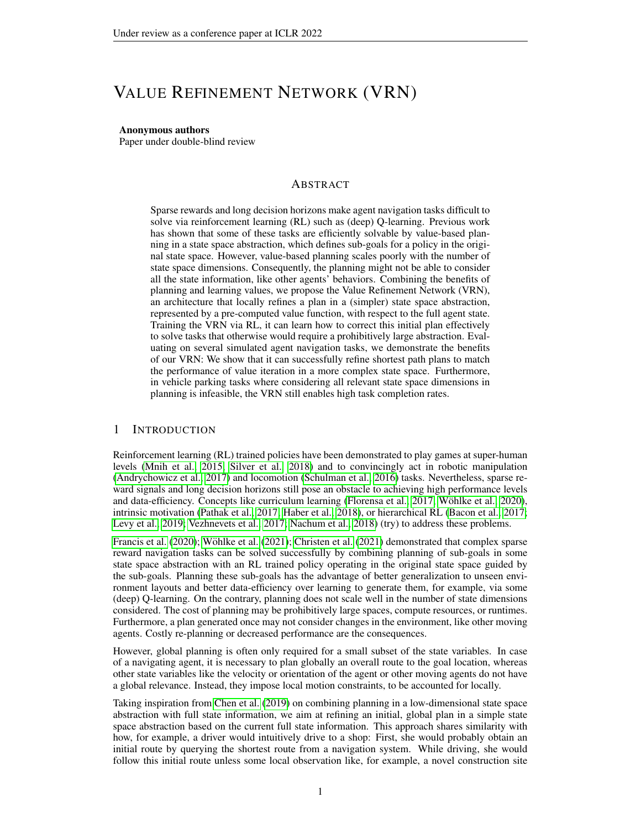# VALUE REFINEMENT NETWORK (VRN)

#### Anonymous authors

Paper under double-blind review

# ABSTRACT

Sparse rewards and long decision horizons make agent navigation tasks difficult to solve via reinforcement learning (RL) such as (deep) Q-learning. Previous work has shown that some of these tasks are efficiently solvable by value-based planning in a state space abstraction, which defines sub-goals for a policy in the original state space. However, value-based planning scales poorly with the number of state space dimensions. Consequently, the planning might not be able to consider all the state information, like other agents' behaviors. Combining the benefits of planning and learning values, we propose the Value Refinement Network (VRN), an architecture that locally refines a plan in a (simpler) state space abstraction, represented by a pre-computed value function, with respect to the full agent state. Training the VRN via RL, it can learn how to correct this initial plan effectively to solve tasks that otherwise would require a prohibitively large abstraction. Evaluating on several simulated agent navigation tasks, we demonstrate the benefits of our VRN: We show that it can successfully refine shortest path plans to match the performance of value iteration in a more complex state space. Furthermore, in vehicle parking tasks where considering all relevant state space dimensions in planning is infeasible, the VRN still enables high task completion rates.

# 1 INTRODUCTION

Reinforcement learning (RL) trained policies have been demonstrated to play games at super-human levels [\(Mnih et al., 2015;](#page-9-0) [Silver et al., 2018\)](#page-10-0) and to convincingly act in robotic manipulation [\(Andrychowicz et al., 2017\)](#page-9-1) and locomotion [\(Schulman et al., 2016\)](#page-10-1) tasks. Nevertheless, sparse reward signals and long decision horizons still pose an obstacle to achieving high performance levels and data-efficiency. Concepts like curriculum learning [\(Florensa et al., 2017;](#page-9-2) Wöhlke et al., 2020), intrinsic motivation [\(Pathak et al., 2017;](#page-10-3) [Haber et al., 2018\)](#page-9-3), or hierarchical RL [\(Bacon et al., 2017;](#page-9-4) [Levy et al., 2019;](#page-9-5) [Vezhnevets et al., 2017;](#page-10-4) [Nachum et al., 2018\)](#page-9-6) (try) to address these problems.

[Francis et al.](#page-9-7) [\(2020\)](#page-9-7); Wöhlke et al. [\(2021\)](#page-9-8); [Christen et al.](#page-9-8) (2021) demonstrated that complex sparse reward navigation tasks can be solved successfully by combining planning of sub-goals in some state space abstraction with an RL trained policy operating in the original state space guided by the sub-goals. Planning these sub-goals has the advantage of better generalization to unseen environment layouts and better data-efficiency over learning to generate them, for example, via some (deep) Q-learning. On the contrary, planning does not scale well in the number of state dimensions considered. The cost of planning may be prohibitively large spaces, compute resources, or runtimes. Furthermore, a plan generated once may not consider changes in the environment, like other moving agents. Costly re-planning or decreased performance are the consequences.

However, global planning is often only required for a small subset of the state variables. In case of a navigating agent, it is necessary to plan globally an overall route to the goal location, whereas other state variables like the velocity or orientation of the agent or other moving agents do not have a global relevance. Instead, they impose local motion constraints, to be accounted for locally.

Taking inspiration from [Chen et al.](#page-9-9) [\(2019\)](#page-9-9) on combining planning in a low-dimensional state space abstraction with full state information, we aim at refining an initial, global plan in a simple state space abstraction based on the current full state information. This approach shares similarity with how, for example, a driver would intuitively drive to a shop: First, she would probably obtain an initial route by querying the shortest route from a navigation system. While driving, she would follow this initial route unless some local observation like, for example, a novel construction site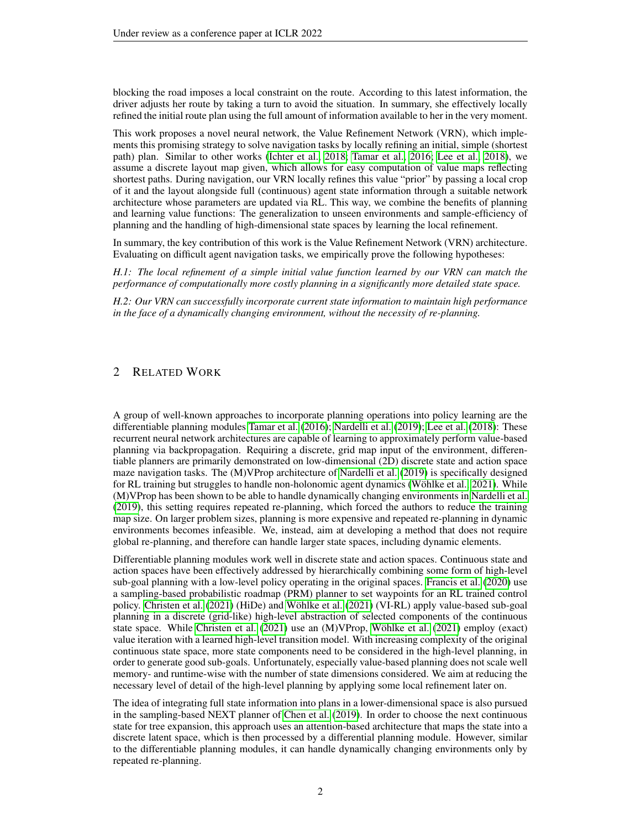blocking the road imposes a local constraint on the route. According to this latest information, the driver adjusts her route by taking a turn to avoid the situation. In summary, she effectively locally refined the initial route plan using the full amount of information available to her in the very moment.

This work proposes a novel neural network, the Value Refinement Network (VRN), which implements this promising strategy to solve navigation tasks by locally refining an initial, simple (shortest path) plan. Similar to other works [\(Ichter et al., 2018;](#page-9-10) [Tamar et al., 2016;](#page-10-6) [Lee et al., 2018\)](#page-9-11), we assume a discrete layout map given, which allows for easy computation of value maps reflecting shortest paths. During navigation, our VRN locally refines this value "prior" by passing a local crop of it and the layout alongside full (continuous) agent state information through a suitable network architecture whose parameters are updated via RL. This way, we combine the benefits of planning and learning value functions: The generalization to unseen environments and sample-efficiency of planning and the handling of high-dimensional state spaces by learning the local refinement.

In summary, the key contribution of this work is the Value Refinement Network (VRN) architecture. Evaluating on difficult agent navigation tasks, we empirically prove the following hypotheses:

*H.1: The local refinement of a simple initial value function learned by our VRN can match the performance of computationally more costly planning in a significantly more detailed state space.*

*H.2: Our VRN can successfully incorporate current state information to maintain high performance in the face of a dynamically changing environment, without the necessity of re-planning.*

# 2 RELATED WORK

A group of well-known approaches to incorporate planning operations into policy learning are the differentiable planning modules [Tamar et al.](#page-10-6) [\(2016\)](#page-10-6); [Nardelli et al.](#page-9-12) [\(2019\)](#page-9-12); [Lee et al.](#page-9-11) [\(2018\)](#page-9-11): These recurrent neural network architectures are capable of learning to approximately perform value-based planning via backpropagation. Requiring a discrete, grid map input of the environment, differentiable planners are primarily demonstrated on low-dimensional (2D) discrete state and action space maze navigation tasks. The (M)VProp architecture of [Nardelli et al.](#page-9-12) [\(2019\)](#page-9-12) is specifically designed for RL training but struggles to handle non-holonomic agent dynamics (Wöhlke et al., 2021). While (M)VProp has been shown to be able to handle dynamically changing environments in [Nardelli et al.](#page-9-12) [\(2019\)](#page-9-12), this setting requires repeated re-planning, which forced the authors to reduce the training map size. On larger problem sizes, planning is more expensive and repeated re-planning in dynamic environments becomes infeasible. We, instead, aim at developing a method that does not require global re-planning, and therefore can handle larger state spaces, including dynamic elements.

Differentiable planning modules work well in discrete state and action spaces. Continuous state and action spaces have been effectively addressed by hierarchically combining some form of high-level sub-goal planning with a low-level policy operating in the original spaces. [Francis et al.](#page-9-7) [\(2020\)](#page-9-7) use a sampling-based probabilistic roadmap (PRM) planner to set waypoints for an RL trained control policy. [Christen et al.](#page-9-8) [\(2021\)](#page-10-5) (HiDe) and Wöhlke et al. (2021) (VI-RL) apply value-based sub-goal planning in a discrete (grid-like) high-level abstraction of selected components of the continuous state space. While [Christen et al.](#page-9-8) [\(2021\)](#page-10-5) use an (M)VProp, Wöhlke et al. (2021) employ (exact) value iteration with a learned high-level transition model. With increasing complexity of the original continuous state space, more state components need to be considered in the high-level planning, in order to generate good sub-goals. Unfortunately, especially value-based planning does not scale well memory- and runtime-wise with the number of state dimensions considered. We aim at reducing the necessary level of detail of the high-level planning by applying some local refinement later on.

The idea of integrating full state information into plans in a lower-dimensional space is also pursued in the sampling-based NEXT planner of [Chen et al.](#page-9-9) [\(2019\)](#page-9-9). In order to choose the next continuous state for tree expansion, this approach uses an attention-based architecture that maps the state into a discrete latent space, which is then processed by a differential planning module. However, similar to the differentiable planning modules, it can handle dynamically changing environments only by repeated re-planning.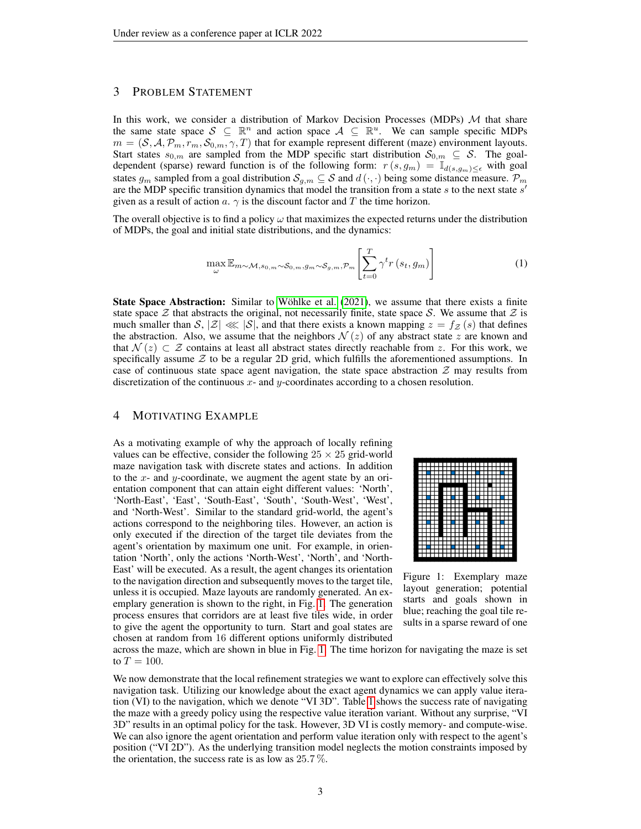# 3 PROBLEM STATEMENT

In this work, we consider a distribution of Markov Decision Processes (MDPs)  $M$  that share the same state space  $S \subseteq \mathbb{R}^n$  and action space  $A \subseteq \mathbb{R}^u$ . We can sample specific MDPs  $m = (S, A, \mathcal{P}_m, r_m, S_{0,m}, \gamma, T)$  that for example represent different (maze) environment layouts. Start states  $s_{0,m}$  are sampled from the MDP specific start distribution  $S_{0,m} \subseteq S$ . The goaldependent (sparse) reward function is of the following form:  $r(s, g_m) = \mathbb{I}_{d(s, g_m) \leq \epsilon}$  with goal states  $g_m$  sampled from a goal distribution  $\mathcal{S}_{g,m} \subseteq \mathcal{S}$  and  $d(\cdot, \cdot)$  being some distance measure.  $\mathcal{P}_m$ are the MDP specific transition dynamics that model the transition from a state  $s$  to the next state  $s'$ given as a result of action a.  $\gamma$  is the discount factor and T the time horizon.

The overall objective is to find a policy  $\omega$  that maximizes the expected returns under the distribution of MDPs, the goal and initial state distributions, and the dynamics:

<span id="page-2-1"></span>
$$
\max_{\omega} \mathbb{E}_{m \sim \mathcal{M}, s_{0, m} \sim \mathcal{S}_{0, m}, g_{m} \sim \mathcal{S}_{g, m}, \mathcal{P}_{m}} \left[ \sum_{t=0}^{T} \gamma^{t} r\left(s_{t}, g_{m}\right) \right]
$$
(1)

State Space Abstraction: Similar to Wöhlke et al. [\(2021\)](#page-10-5), we assume that there exists a finite state space  $\mathcal Z$  that abstracts the original, not necessarily finite, state space  $\mathcal S$ . We assume that  $\mathcal Z$  is much smaller than  $S, |Z| \ll |S|$ , and that there exists a known mapping  $z = f_{Z}(s)$  that defines the abstraction. Also, we assume that the neighbors  $\mathcal{N}(z)$  of any abstract state z are known and that  $\mathcal{N}(z) \subset \mathcal{Z}$  contains at least all abstract states directly reachable from z. For this work, we specifically assume  $Z$  to be a regular 2D grid, which fulfills the aforementioned assumptions. In case of continuous state space agent navigation, the state space abstraction  $Z$  may results from discretization of the continuous  $x$ - and  $y$ -coordinates according to a chosen resolution.

### <span id="page-2-2"></span>4 MOTIVATING EXAMPLE

As a motivating example of why the approach of locally refining values can be effective, consider the following  $25 \times 25$  grid-world maze navigation task with discrete states and actions. In addition to the  $x$ - and  $y$ -coordinate, we augment the agent state by an orientation component that can attain eight different values: 'North', 'North-East', 'East', 'South-East', 'South', 'South-West', 'West', and 'North-West'. Similar to the standard grid-world, the agent's actions correspond to the neighboring tiles. However, an action is only executed if the direction of the target tile deviates from the agent's orientation by maximum one unit. For example, in orientation 'North', only the actions 'North-West', 'North', and 'North-East' will be executed. As a result, the agent changes its orientation to the navigation direction and subsequently moves to the target tile, unless it is occupied. Maze layouts are randomly generated. An exemplary generation is shown to the right, in Fig. [1.](#page-2-0) The generation process ensures that corridors are at least five tiles wide, in order to give the agent the opportunity to turn. Start and goal states are chosen at random from 16 different options uniformly distributed

<span id="page-2-0"></span>

Figure 1: Exemplary maze layout generation; potential starts and goals shown in blue; reaching the goal tile results in a sparse reward of one

across the maze, which are shown in blue in Fig. [1.](#page-2-0) The time horizon for navigating the maze is set to  $T = 100$ .

We now demonstrate that the local refinement strategies we want to explore can effectively solve this navigation task. Utilizing our knowledge about the exact agent dynamics we can apply value iteration (VI) to the navigation, which we denote "VI 3D". Table [1](#page-3-0) shows the success rate of navigating the maze with a greedy policy using the respective value iteration variant. Without any surprise, "VI 3D" results in an optimal policy for the task. However, 3D VI is costly memory- and compute-wise. We can also ignore the agent orientation and perform value iteration only with respect to the agent's position ("VI 2D"). As the underlying transition model neglects the motion constraints imposed by the orientation, the success rate is as low as  $25.7\%$ .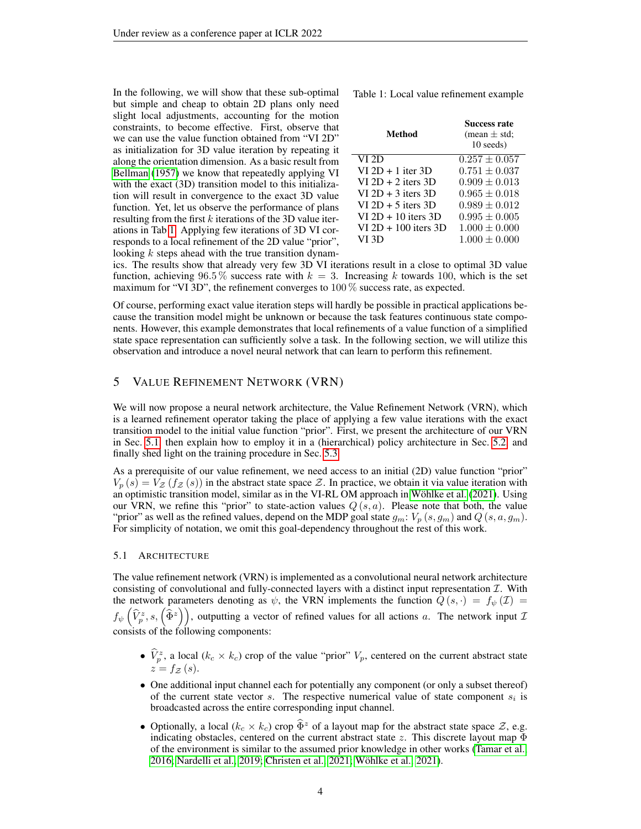In the following, we will show that these sub-optimal but simple and cheap to obtain 2D plans only need slight local adjustments, accounting for the motion constraints, to become effective. First, observe that we can use the value function obtained from "VI 2D" as initialization for 3D value iteration by repeating it along the orientation dimension. As a basic result from [Bellman](#page-9-13) [\(1957\)](#page-9-13) we know that repeatedly applying VI with the exact (3D) transition model to this initialization will result in convergence to the exact 3D value function. Yet, let us observe the performance of plans resulting from the first  $k$  iterations of the 3D value iterations in Tab [1.](#page-3-0) Applying few iterations of 3D VI corresponds to a local refinement of the 2D value "prior", looking  $k$  steps ahead with the true transition dynam-

<span id="page-3-0"></span>Table 1: Local value refinement example

| Method                 | <b>Success rate</b><br>(mean $\pm$ std;<br>10 seeds) |
|------------------------|------------------------------------------------------|
| VI 2D                  | $0.257 \pm 0.057$                                    |
| $VI 2D + 1$ iter 3D    | $0.751\pm0.037$                                      |
| $VI 2D + 2$ iters 3D   | $0.909\pm0.013$                                      |
| $VI$ 2D + 3 iters 3D   | $0.965\pm0.018$                                      |
| $VI$ 2D + 5 iters 3D   | $0.989 \pm 0.012$                                    |
| $VI 2D + 10$ iters 3D  | $0.995\pm0.005$                                      |
| $VI 2D + 100$ iters 3D | $1.000 \pm 0.000$                                    |
| VI 3D                  | $1.000 \pm 0.000$                                    |

ics. The results show that already very few 3D VI iterations result in a close to optimal 3D value function, achieving 96.5 % success rate with  $k = 3$ . Increasing k towards 100, which is the set maximum for "VI 3D", the refinement converges to 100 % success rate, as expected.

Of course, performing exact value iteration steps will hardly be possible in practical applications because the transition model might be unknown or because the task features continuous state components. However, this example demonstrates that local refinements of a value function of a simplified state space representation can sufficiently solve a task. In the following section, we will utilize this observation and introduce a novel neural network that can learn to perform this refinement.

### 5 VALUE REFINEMENT NETWORK (VRN)

We will now propose a neural network architecture, the Value Refinement Network (VRN), which is a learned refinement operator taking the place of applying a few value iterations with the exact transition model to the initial value function "prior". First, we present the architecture of our VRN in Sec. [5.1,](#page-3-1) then explain how to employ it in a (hierarchical) policy architecture in Sec. [5.2,](#page-4-0) and finally shed light on the training procedure in Sec. [5.3.](#page-4-1)

As a prerequisite of our value refinement, we need access to an initial (2D) value function "prior"  $V_p(s) = V_z(f_z(s))$  in the abstract state space Z. In practice, we obtain it via value iteration with an optimistic transition model, similar as in the VI-RL OM approach in Wöhlke et al. [\(2021\)](#page-10-5). Using our VRN, we refine this "prior" to state-action values  $Q(s, a)$ . Please note that both, the value "prior" as well as the refined values, depend on the MDP goal state  $g_m: V_p(s, g_m)$  and  $Q(s, a, g_m)$ . For simplicity of notation, we omit this goal-dependency throughout the rest of this work.

#### <span id="page-3-1"></span>5.1 ARCHITECTURE

The value refinement network (VRN) is implemented as a convolutional neural network architecture consisting of convolutional and fully-connected layers with a distinct input representation  $I$ . With the network parameters denoting as  $\psi$ , the VRN implements the function  $\overline{Q}(s, \cdot) = f_{\psi}(\mathcal{I}) =$  $f_{\psi}\left(\widehat{V}_p^z,s,\left(\widehat{\Phi}^z\right)\right)$ , outputting a vector of refined values for all actions a. The network input  $\mathcal I$ consists of the following components:

- $\hat{V}_p^z$ , a local  $(k_c \times k_c)$  crop of the value "prior"  $V_p$ , centered on the current abstract state  $z = f_{\mathcal{Z}}(s).$
- One additional input channel each for potentially any component (or only a subset thereof) of the current state vector  $s$ . The respective numerical value of state component  $s_i$  is broadcasted across the entire corresponding input channel.
- Optionally, a local  $(k_c \times k_c)$  crop  $\widehat{\Phi}^z$  of a layout map for the abstract state space  $\mathcal{Z}$ , e.g. indicating obstacles, centered on the current abstract state z. This discrete layout map  $\Phi$ of the environment is similar to the assumed prior knowledge in other works [\(Tamar et al.,](#page-10-6) [2016;](#page-10-6) [Nardelli et al., 2019;](#page-9-12) [Christen et al., 2021;](#page-9-8) [Wohlke et al., 2021\)](#page-10-5). ¨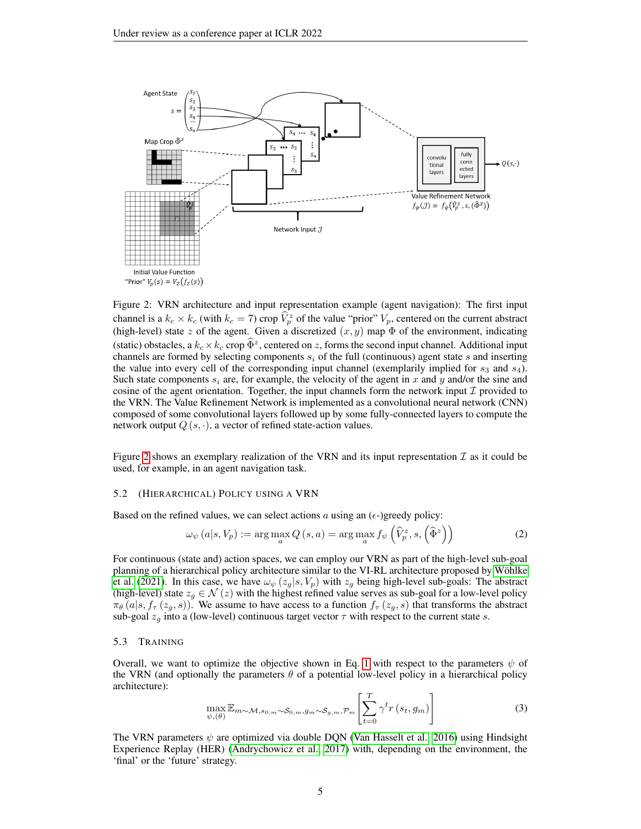<span id="page-4-2"></span>

Figure 2: VRN architecture and input representation example (agent navigation): The first input channel is a  $k_c \times k_c$  (with  $k_c = 7$ ) crop  $\hat{V}_p^z$  of the value "prior"  $V_p$ , centered on the current abstract (high-level) state z of the agent. Given a discretized  $(x, y)$  map  $\Phi$  of the environment, indicating (static) obstacles, a  $k_c \times k_c$  crop  $\widehat{\Phi}^z$ , centered on z, forms the second input channel. Additional input channels are formed by selecting components  $s_i$  of the full (continuous) agent state s and inserting the value into every cell of the corresponding input channel (exemplarily implied for  $s_3$  and  $s_4$ ). Such state components  $s_i$  are, for example, the velocity of the agent in x and y and/or the sine and cosine of the agent orientation. Together, the input channels form the network input  $\mathcal I$  provided to the VRN. The Value Refinement Network is implemented as a convolutional neural network (CNN) composed of some convolutional layers followed up by some fully-connected layers to compute the network output  $Q(s, \cdot)$ , a vector of refined state-action values.

Figure [2](#page-4-2) shows an exemplary realization of the VRN and its input representation  $\mathcal I$  as it could be used, for example, in an agent navigation task.

#### <span id="page-4-0"></span>5.2 (HIERARCHICAL) POLICY USING A VRN

Based on the refined values, we can select actions a using an  $(\epsilon$ -)greedy policy:

$$
\omega_{\psi}(a|s, V_p) := \arg \max_{a} Q(s, a) = \arg \max_{a} f_{\psi}\left(\widehat{V}_p^z, s, \left(\widehat{\Phi}^z\right)\right)
$$
(2)

For continuous (state and) action spaces, we can employ our VRN as part of the high-level sub-goal planning of a hierarchical policy architecture similar to the VI-RL architecture proposed by Wöhlke [et al.](#page-10-5) [\(2021\)](#page-10-5). In this case, we have  $\omega_{\psi}(z_q|s, V_p)$  with  $z_q$  being high-level sub-goals: The abstract (high-level) state  $z_q \in \mathcal{N}(z)$  with the highest refined value serves as sub-goal for a low-level policy  $\pi_{\theta}(a|s, f_{\tau}(z_g, s))$ . We assume to have access to a function  $f_{\tau}(z_g, s)$  that transforms the abstract sub-goal  $z_q$  into a (low-level) continuous target vector  $\tau$  with respect to the current state s.

#### <span id="page-4-1"></span>5.3 TRAINING

Overall, we want to optimize the objective shown in Eq. [1](#page-2-1) with respect to the parameters  $\psi$  of the VRN (and optionally the parameters  $\theta$  of a potential low-level policy in a hierarchical policy architecture):

$$
\max_{\psi,(\theta)} \mathbb{E}_{m \sim \mathcal{M}, s_{0,m} \sim \mathcal{S}_{0,m}, g_m \sim \mathcal{S}_{g,m}, \mathcal{P}_m} \left[ \sum_{t=0}^T \gamma^t r(s_t, g_m) \right]
$$
(3)

The VRN parameters  $\psi$  are optimized via double DQN [\(Van Hasselt et al., 2016\)](#page-10-7) using Hindsight Experience Replay (HER) [\(Andrychowicz et al., 2017\)](#page-9-1) with, depending on the environment, the 'final' or the 'future' strategy.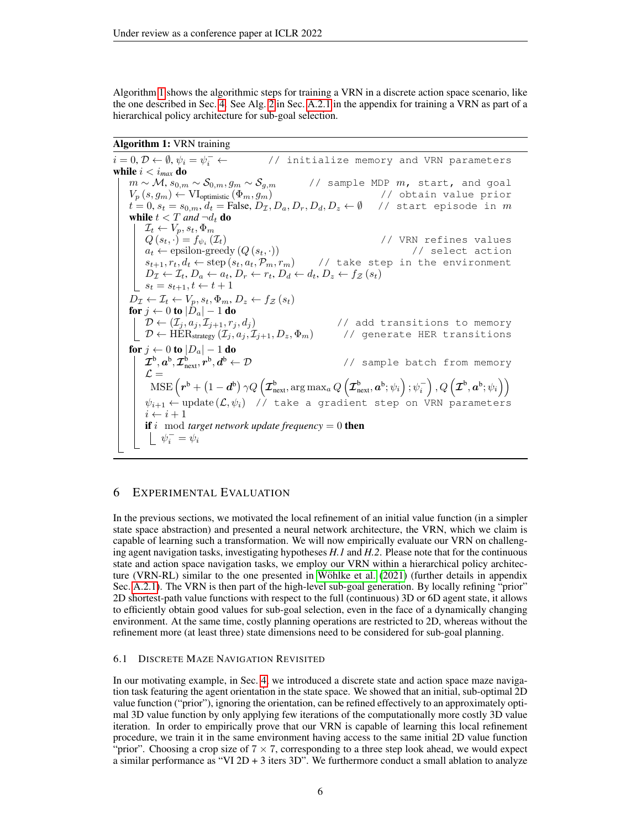Algorithm [1](#page-5-0) shows the algorithmic steps for training a VRN in a discrete action space scenario, like the one described in Sec. [4.](#page-2-2) See Alg. [2](#page-14-0) in Sec. [A.2.1](#page-12-0) in the appendix for training a VRN as part of a hierarchical policy architecture for sub-goal selection.

# Algorithm 1: VRN training

<span id="page-5-0"></span> $i = 0, \mathcal{D} \leftarrow \emptyset, \psi_i = \psi_i^-$ // initialize memory and VRN parameters while  $i < i_{max}$  do  $m \sim \mathcal{M}, s_{0,m} \sim \mathcal{S}_{0,m}, g_m \sim \mathcal{S}_{g,m}$  // sample MDP  $m$ , start, and goal  $V_p\left(s, g_m\right) \leftarrow \text{VI}_{\text{optimistic}}\left(\Phi_m, g_m\right)$  // obtain value prior  $t=0, s_t=s_{0,m}, d_t={\rm False}, D_{\mathcal{I}}, D_a, D_r, D_d, D_z \leftarrow \emptyset$  // start episode in  $m$ while  $t < T$  and  $\neg d_t$  do  $\mathcal{I}_t \leftarrow V_p, s_t, \Phi_m$  $Q\left(s_{t},\cdot\right)=f_{\psi_{i}}\left(\mathcal{I}_{t}\right)$  // VRN refines values  $a_t \leftarrow \text{epsilon}(\mathcal{Q}(s_t, \cdot))$  // select action  $s_{t+1}, r_t, d_t \leftarrow \text{step}(s_t, a_t, \mathcal{P}_m, r_m)$  // take step in the environment  $D_{\mathcal{I}} \leftarrow \mathcal{I}_t, D_a \leftarrow a_t, D_r \leftarrow r_t, D_d \leftarrow d_t, D_z \leftarrow f_{\mathcal{Z}}(s_t)$  $\left\lfloor s_t = s_{t+1}, t \leftarrow t+1 \right\rfloor$  $D_{\mathcal{I}} \leftarrow \mathcal{I}_t \leftarrow V_p, s_t, \Phi_m, D_z \leftarrow f_{\mathcal{Z}}(s_t)$ for  $j \gets 0$  to  $|D_a|-1$  do  $\mathcal{D} \leftarrow (\mathcal{I}_j, a_j, \mathcal{I}_{j+1}, r_j, d_j)$  // add transitions to memory  $\mathcal{D} \leftarrow \text{HER}_{\text{strategy}}\left(\mathcal{I}_j, a_j, \mathcal{I}_{j+1}, D_z, \Phi_m\right)$  // generate HER transitions for  $j \leftarrow 0$  to  $|D_a| - 1$  do  $\boldsymbol{\mathcal{I}}^{\text{b}}, \boldsymbol{a}^{\text{b}}, \boldsymbol{\mathcal{I}}^{\text{b}}_{\text{next}}, \boldsymbol{r}^{\text{b}}, \boldsymbol{d}$ // sample batch from memory  $\mathcal{L} =$  $\text{MSE}\left(\boldsymbol{r}^{\text{b}} + \left(1-\boldsymbol{d}^{\text{b}}\right)\gamma Q\left(\boldsymbol{\mathcal{I}}_{\text{next}}^{\text{b}},\arg\max_{a}Q\left(\boldsymbol{\mathcal{I}}_{\text{next}}^{\text{b}},\boldsymbol{a}^{\text{b}};\psi_{i}\right);\psi_{i}^{-}\right), Q\left(\boldsymbol{\mathcal{I}}^{\text{b}},\boldsymbol{a}^{\text{b}};\psi_{i}\right)\right)$  $\psi_{i+1} \leftarrow \text{update}\left(\mathcal{L}, \psi_i\right)$  // take a gradient step on VRN parameters  $i \leftarrow i + 1$ **if** i mod *target network update frequency* = 0 **then**  $\psi_i^- = \psi_i$ 

# 6 EXPERIMENTAL EVALUATION

In the previous sections, we motivated the local refinement of an initial value function (in a simpler state space abstraction) and presented a neural network architecture, the VRN, which we claim is capable of learning such a transformation. We will now empirically evaluate our VRN on challenging agent navigation tasks, investigating hypotheses *H.1* and *H.2*. Please note that for the continuous state and action space navigation tasks, we employ our VRN within a hierarchical policy architec-ture (VRN-RL) similar to the one presented in Wöhlke et al. [\(2021\)](#page-10-5) (further details in appendix Sec. [A.2.1\)](#page-12-0). The VRN is then part of the high-level sub-goal generation. By locally refining "prior" 2D shortest-path value functions with respect to the full (continuous) 3D or 6D agent state, it allows to efficiently obtain good values for sub-goal selection, even in the face of a dynamically changing environment. At the same time, costly planning operations are restricted to 2D, whereas without the refinement more (at least three) state dimensions need to be considered for sub-goal planning.

#### 6.1 DISCRETE MAZE NAVIGATION REVISITED

In our motivating example, in Sec. [4,](#page-2-2) we introduced a discrete state and action space maze navigation task featuring the agent orientation in the state space. We showed that an initial, sub-optimal 2D value function ("prior"), ignoring the orientation, can be refined effectively to an approximately optimal 3D value function by only applying few iterations of the computationally more costly 3D value iteration. In order to empirically prove that our VRN is capable of learning this local refinement procedure, we train it in the same environment having access to the same initial 2D value function "prior". Choosing a crop size of  $7 \times 7$ , corresponding to a three step look ahead, we would expect a similar performance as "VI  $2D + 3$  iters  $3D$ ". We furthermore conduct a small ablation to analyze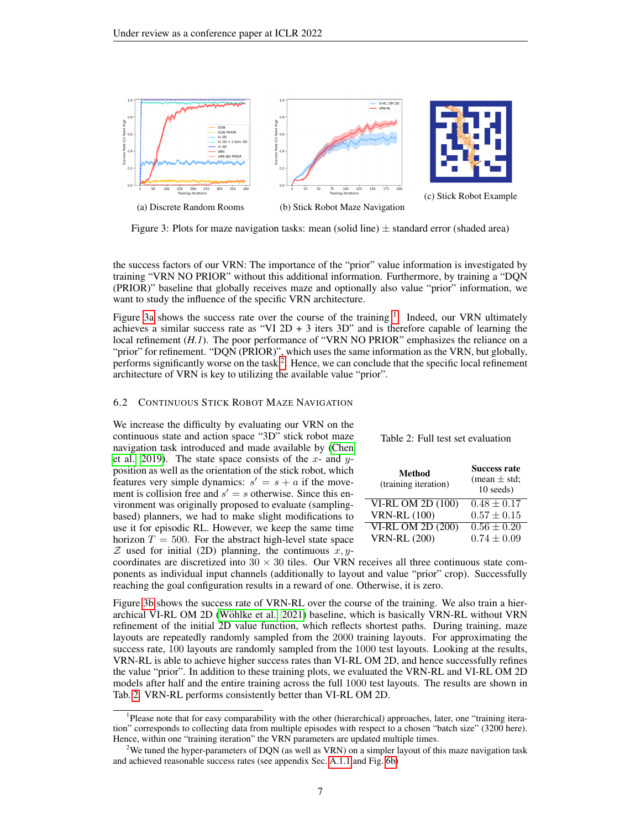<span id="page-6-0"></span>

Figure 3: Plots for maze navigation tasks: mean (solid line)  $\pm$  standard error (shaded area)

the success factors of our VRN: The importance of the "prior" value information is investigated by training "VRN NO PRIOR" without this additional information. Furthermore, by training a "DQN (PRIOR)" baseline that globally receives maze and optionally also value "prior" information, we want to study the influence of the specific VRN architecture.

Figure [3a](#page-6-0) shows the success rate over the course of the training  $1$ . Indeed, our VRN ultimately achieves a similar success rate as "VI  $2D + 3$  iters  $3D$ " and is therefore capable of learning the local refinement (*H.1*). The poor performance of "VRN NO PRIOR" emphasizes the reliance on a "prior" for refinement. "DQN (PRIOR)", which uses the same information as the VRN, but globally, performs significantly worse on the task  $2$ . Hence, we can conclude that the specific local refinement architecture of VRN is key to utilizing the available value "prior".

#### 6.2 CONTINUOUS STICK ROBOT MAZE NAVIGATION

We increase the difficulty by evaluating our VRN on the continuous state and action space "3D" stick robot maze navigation task introduced and made available by [\(Chen](#page-9-9) [et al., 2019\)](#page-9-9). The state space consists of the  $x$ - and  $y$ position as well as the orientation of the stick robot, which features very simple dynamics:  $s' = s + a$  if the movement is collision free and  $s' = s$  otherwise. Since this environment was originally proposed to evaluate (samplingbased) planners, we had to make slight modifications to use it for episodic RL. However, we keep the same time horizon  $T = 500$ . For the abstract high-level state space  $Z$  used for initial (2D) planning, the continuous  $x, y$ -

<span id="page-6-3"></span>

| Table 2: Full test set evaluation |
|-----------------------------------|
|-----------------------------------|

| Method<br>(training iteration) | <b>Success rate</b><br>(mean $\pm$ std;<br>10 seeds) |
|--------------------------------|------------------------------------------------------|
| VI-RL OM 2D (100)              | $0.48 \pm 0.17$                                      |
| <b>VRN-RL (100)</b>            | $0.57 \pm 0.15$                                      |
| VI-RL OM 2D (200)              | $0.56 \pm 0.20$                                      |
| <b>VRN-RL (200)</b>            | $0.74 \pm 0.09$                                      |

coordinates are discretized into  $30 \times 30$  tiles. Our VRN receives all three continuous state components as individual input channels (additionally to layout and value "prior" crop). Successfully reaching the goal configuration results in a reward of one. Otherwise, it is zero.

Figure [3b](#page-6-0) shows the success rate of VRN-RL over the course of the training. We also train a hierarchical VI-RL OM 2D (Wöhlke et al., 2021) baseline, which is basically VRN-RL without VRN refinement of the initial 2D value function, which reflects shortest paths. During training, maze layouts are repeatedly randomly sampled from the 2000 training layouts. For approximating the success rate, 100 layouts are randomly sampled from the 1000 test layouts. Looking at the results, VRN-RL is able to achieve higher success rates than VI-RL OM 2D, and hence successfully refines the value "prior". In addition to these training plots, we evaluated the VRN-RL and VI-RL OM 2D models after half and the entire training across the full 1000 test layouts. The results are shown in Tab. [2.](#page-6-3) VRN-RL performs consistently better than VI-RL OM 2D.

<span id="page-6-1"></span><sup>&</sup>lt;sup>1</sup>Please note that for easy comparability with the other (hierarchical) approaches, later, one "training iteration" corresponds to collecting data from multiple episodes with respect to a chosen "batch size" (3200 here). Hence, within one "training iteration" the VRN parameters are updated multiple times.

<span id="page-6-2"></span><sup>&</sup>lt;sup>2</sup>We tuned the hyper-parameters of DQN (as well as VRN) on a simpler layout of this maze navigation task and achieved reasonable success rates (see appendix Sec. [A.1.1](#page-11-0) and Fig. [6b\)](#page-11-1)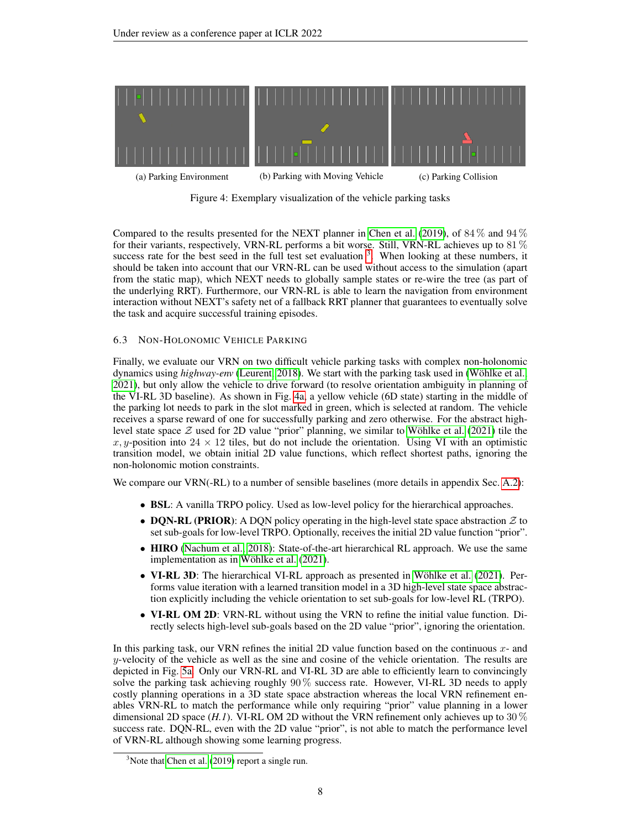<span id="page-7-1"></span>

Figure 4: Exemplary visualization of the vehicle parking tasks

Compared to the results presented for the NEXT planner in [Chen et al.](#page-9-9) [\(2019\)](#page-9-9), of  $84\%$  and  $94\%$ for their variants, respectively, VRN-RL performs a bit worse. Still, VRN-RL achieves up to 81 % success rate for the best seed in the full test set evaluation  $3$ . When looking at these numbers, it should be taken into account that our VRN-RL can be used without access to the simulation (apart from the static map), which NEXT needs to globally sample states or re-wire the tree (as part of the underlying RRT). Furthermore, our VRN-RL is able to learn the navigation from environment interaction without NEXT's safety net of a fallback RRT planner that guarantees to eventually solve the task and acquire successful training episodes.

# 6.3 NON-HOLONOMIC VEHICLE PARKING

Finally, we evaluate our VRN on two difficult vehicle parking tasks with complex non-holonomic dynamics using *highway-env* [\(Leurent, 2018\)](#page-9-14). We start with the parking task used in (Wöhlke et al., [2021\)](#page-10-5), but only allow the vehicle to drive forward (to resolve orientation ambiguity in planning of the VI-RL 3D baseline). As shown in Fig. [4a,](#page-7-1) a yellow vehicle (6D state) starting in the middle of the parking lot needs to park in the slot marked in green, which is selected at random. The vehicle receives a sparse reward of one for successfully parking and zero otherwise. For the abstract highlevel state space  $Z$  used for 2D value "prior" planning, we similar to Wöhlke et al. [\(2021\)](#page-10-5) tile the x, y-position into  $24 \times 12$  tiles, but do not include the orientation. Using VI with an optimistic transition model, we obtain initial 2D value functions, which reflect shortest paths, ignoring the non-holonomic motion constraints.

We compare our VRN(-RL) to a number of sensible baselines (more details in appendix Sec. [A.2\)](#page-12-1):

- **BSL:** A vanilla TRPO policy. Used as low-level policy for the hierarchical approaches.
- DQN-RL (PRIOR): A DQN policy operating in the high-level state space abstraction  $\mathcal Z$  to set sub-goals for low-level TRPO. Optionally, receives the initial 2D value function "prior".
- **HIRO** [\(Nachum et al., 2018\)](#page-9-6): State-of-the-art hierarchical RL approach. We use the same implementation as in Wöhlke et al. [\(2021\)](#page-10-5).
- VI-RL 3D: The hierarchical VI-RL approach as presented in Wöhlke et al. [\(2021\)](#page-10-5). Performs value iteration with a learned transition model in a 3D high-level state space abstraction explicitly including the vehicle orientation to set sub-goals for low-level RL (TRPO).
- VI-RL OM 2D: VRN-RL without using the VRN to refine the initial value function. Directly selects high-level sub-goals based on the 2D value "prior", ignoring the orientation.

In this parking task, our VRN refines the initial 2D value function based on the continuous  $x$ - and y-velocity of the vehicle as well as the sine and cosine of the vehicle orientation. The results are depicted in Fig. [5a.](#page-8-0) Only our VRN-RL and VI-RL 3D are able to efficiently learn to convincingly solve the parking task achieving roughly  $90\%$  success rate. However, VI-RL 3D needs to apply costly planning operations in a 3D state space abstraction whereas the local VRN refinement enables VRN-RL to match the performance while only requiring "prior" value planning in a lower dimensional 2D space  $(H, I)$ . VI-RL OM 2D without the VRN refinement only achieves up to 30  $\%$ success rate. DQN-RL, even with the 2D value "prior", is not able to match the performance level of VRN-RL although showing some learning progress.

<span id="page-7-0"></span> $3$ Note that [Chen et al.](#page-9-9) [\(2019\)](#page-9-9) report a single run.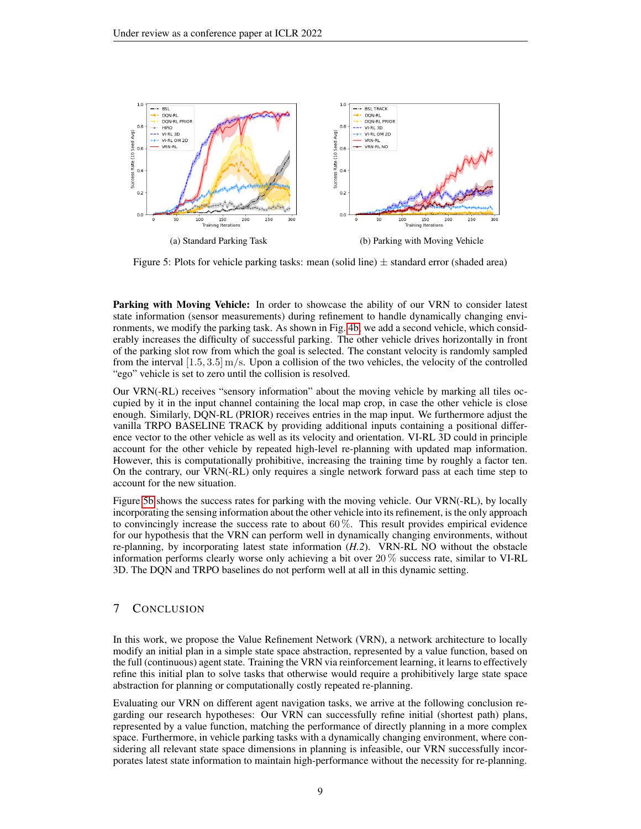<span id="page-8-0"></span>

Figure 5: Plots for vehicle parking tasks: mean (solid line)  $\pm$  standard error (shaded area)

Parking with Moving Vehicle: In order to showcase the ability of our VRN to consider latest state information (sensor measurements) during refinement to handle dynamically changing environments, we modify the parking task. As shown in Fig. [4b,](#page-7-1) we add a second vehicle, which considerably increases the difficulty of successful parking. The other vehicle drives horizontally in front of the parking slot row from which the goal is selected. The constant velocity is randomly sampled from the interval  $[1.5, 3.5]$  m/s. Upon a collision of the two vehicles, the velocity of the controlled "ego" vehicle is set to zero until the collision is resolved.

Our VRN(-RL) receives "sensory information" about the moving vehicle by marking all tiles occupied by it in the input channel containing the local map crop, in case the other vehicle is close enough. Similarly, DQN-RL (PRIOR) receives entries in the map input. We furthermore adjust the vanilla TRPO BASELINE TRACK by providing additional inputs containing a positional difference vector to the other vehicle as well as its velocity and orientation. VI-RL 3D could in principle account for the other vehicle by repeated high-level re-planning with updated map information. However, this is computationally prohibitive, increasing the training time by roughly a factor ten. On the contrary, our VRN(-RL) only requires a single network forward pass at each time step to account for the new situation.

Figure [5b](#page-8-0) shows the success rates for parking with the moving vehicle. Our VRN(-RL), by locally incorporating the sensing information about the other vehicle into its refinement, is the only approach to convincingly increase the success rate to about  $60\%$ . This result provides empirical evidence for our hypothesis that the VRN can perform well in dynamically changing environments, without re-planning, by incorporating latest state information (*H.2*). VRN-RL NO without the obstacle information performs clearly worse only achieving a bit over 20 % success rate, similar to VI-RL 3D. The DQN and TRPO baselines do not perform well at all in this dynamic setting.

### 7 CONCLUSION

In this work, we propose the Value Refinement Network (VRN), a network architecture to locally modify an initial plan in a simple state space abstraction, represented by a value function, based on the full (continuous) agent state. Training the VRN via reinforcement learning, it learns to effectively refine this initial plan to solve tasks that otherwise would require a prohibitively large state space abstraction for planning or computationally costly repeated re-planning.

Evaluating our VRN on different agent navigation tasks, we arrive at the following conclusion regarding our research hypotheses: Our VRN can successfully refine initial (shortest path) plans, represented by a value function, matching the performance of directly planning in a more complex space. Furthermore, in vehicle parking tasks with a dynamically changing environment, where considering all relevant state space dimensions in planning is infeasible, our VRN successfully incorporates latest state information to maintain high-performance without the necessity for re-planning.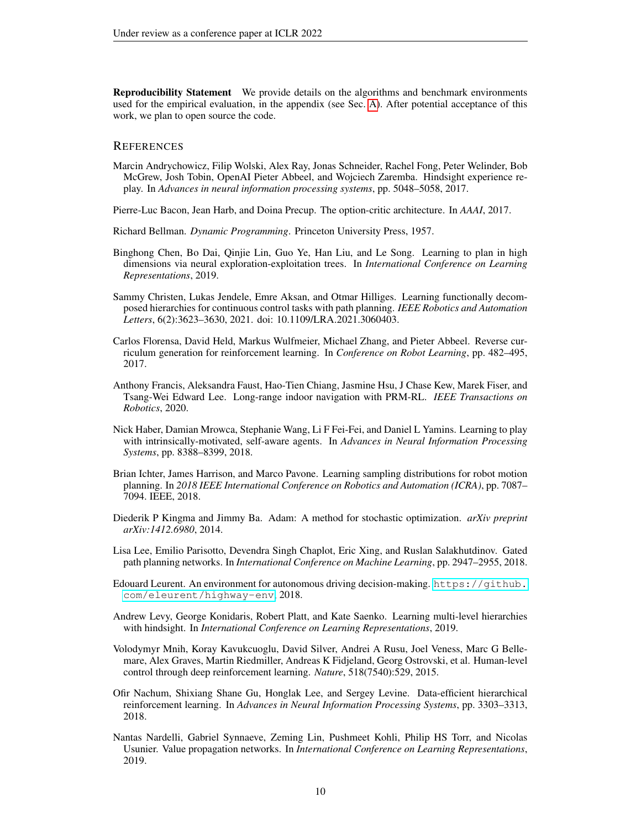Reproducibility Statement We provide details on the algorithms and benchmark environments used for the empirical evaluation, in the appendix (see Sec. [A\)](#page-11-2). After potential acceptance of this work, we plan to open source the code.

#### **REFERENCES**

- <span id="page-9-1"></span>Marcin Andrychowicz, Filip Wolski, Alex Ray, Jonas Schneider, Rachel Fong, Peter Welinder, Bob McGrew, Josh Tobin, OpenAI Pieter Abbeel, and Wojciech Zaremba. Hindsight experience replay. In *Advances in neural information processing systems*, pp. 5048–5058, 2017.
- <span id="page-9-4"></span>Pierre-Luc Bacon, Jean Harb, and Doina Precup. The option-critic architecture. In *AAAI*, 2017.
- <span id="page-9-13"></span>Richard Bellman. *Dynamic Programming*. Princeton University Press, 1957.
- <span id="page-9-9"></span>Binghong Chen, Bo Dai, Qinjie Lin, Guo Ye, Han Liu, and Le Song. Learning to plan in high dimensions via neural exploration-exploitation trees. In *International Conference on Learning Representations*, 2019.
- <span id="page-9-8"></span>Sammy Christen, Lukas Jendele, Emre Aksan, and Otmar Hilliges. Learning functionally decomposed hierarchies for continuous control tasks with path planning. *IEEE Robotics and Automation Letters*, 6(2):3623–3630, 2021. doi: 10.1109/LRA.2021.3060403.
- <span id="page-9-2"></span>Carlos Florensa, David Held, Markus Wulfmeier, Michael Zhang, and Pieter Abbeel. Reverse curriculum generation for reinforcement learning. In *Conference on Robot Learning*, pp. 482–495, 2017.
- <span id="page-9-7"></span>Anthony Francis, Aleksandra Faust, Hao-Tien Chiang, Jasmine Hsu, J Chase Kew, Marek Fiser, and Tsang-Wei Edward Lee. Long-range indoor navigation with PRM-RL. *IEEE Transactions on Robotics*, 2020.
- <span id="page-9-3"></span>Nick Haber, Damian Mrowca, Stephanie Wang, Li F Fei-Fei, and Daniel L Yamins. Learning to play with intrinsically-motivated, self-aware agents. In *Advances in Neural Information Processing Systems*, pp. 8388–8399, 2018.
- <span id="page-9-10"></span>Brian Ichter, James Harrison, and Marco Pavone. Learning sampling distributions for robot motion planning. In *2018 IEEE International Conference on Robotics and Automation (ICRA)*, pp. 7087– 7094. IEEE, 2018.
- <span id="page-9-15"></span>Diederik P Kingma and Jimmy Ba. Adam: A method for stochastic optimization. *arXiv preprint arXiv:1412.6980*, 2014.
- <span id="page-9-11"></span>Lisa Lee, Emilio Parisotto, Devendra Singh Chaplot, Eric Xing, and Ruslan Salakhutdinov. Gated path planning networks. In *International Conference on Machine Learning*, pp. 2947–2955, 2018.
- <span id="page-9-14"></span>Edouard Leurent. An environment for autonomous driving decision-making. [https://github.](https://github.com/eleurent/highway-env) [com/eleurent/highway-env](https://github.com/eleurent/highway-env), 2018.
- <span id="page-9-5"></span>Andrew Levy, George Konidaris, Robert Platt, and Kate Saenko. Learning multi-level hierarchies with hindsight. In *International Conference on Learning Representations*, 2019.
- <span id="page-9-0"></span>Volodymyr Mnih, Koray Kavukcuoglu, David Silver, Andrei A Rusu, Joel Veness, Marc G Bellemare, Alex Graves, Martin Riedmiller, Andreas K Fidjeland, Georg Ostrovski, et al. Human-level control through deep reinforcement learning. *Nature*, 518(7540):529, 2015.
- <span id="page-9-6"></span>Ofir Nachum, Shixiang Shane Gu, Honglak Lee, and Sergey Levine. Data-efficient hierarchical reinforcement learning. In *Advances in Neural Information Processing Systems*, pp. 3303–3313, 2018.
- <span id="page-9-12"></span>Nantas Nardelli, Gabriel Synnaeve, Zeming Lin, Pushmeet Kohli, Philip HS Torr, and Nicolas Usunier. Value propagation networks. In *International Conference on Learning Representations*, 2019.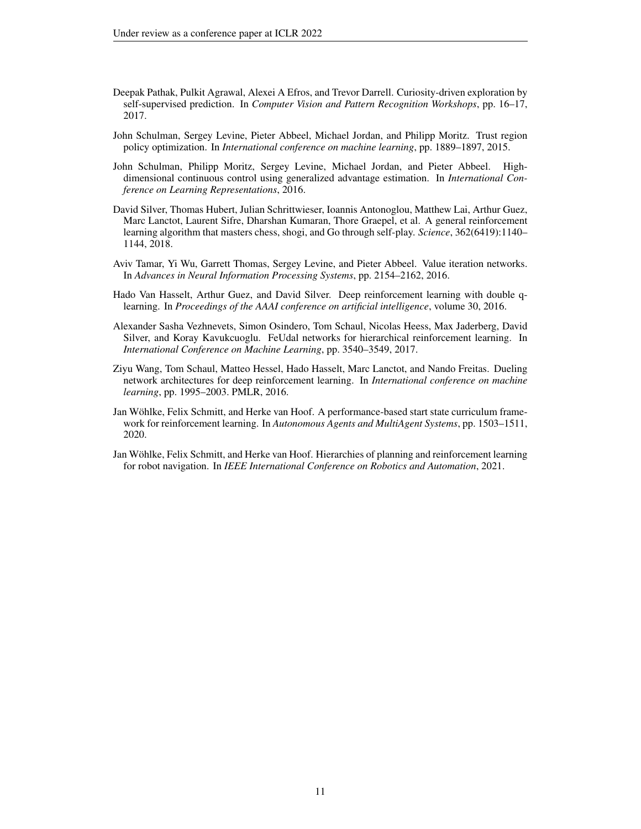- <span id="page-10-3"></span>Deepak Pathak, Pulkit Agrawal, Alexei A Efros, and Trevor Darrell. Curiosity-driven exploration by self-supervised prediction. In *Computer Vision and Pattern Recognition Workshops*, pp. 16–17, 2017.
- <span id="page-10-8"></span>John Schulman, Sergey Levine, Pieter Abbeel, Michael Jordan, and Philipp Moritz. Trust region policy optimization. In *International conference on machine learning*, pp. 1889–1897, 2015.
- <span id="page-10-1"></span>John Schulman, Philipp Moritz, Sergey Levine, Michael Jordan, and Pieter Abbeel. Highdimensional continuous control using generalized advantage estimation. In *International Conference on Learning Representations*, 2016.
- <span id="page-10-0"></span>David Silver, Thomas Hubert, Julian Schrittwieser, Ioannis Antonoglou, Matthew Lai, Arthur Guez, Marc Lanctot, Laurent Sifre, Dharshan Kumaran, Thore Graepel, et al. A general reinforcement learning algorithm that masters chess, shogi, and Go through self-play. *Science*, 362(6419):1140– 1144, 2018.
- <span id="page-10-6"></span>Aviv Tamar, Yi Wu, Garrett Thomas, Sergey Levine, and Pieter Abbeel. Value iteration networks. In *Advances in Neural Information Processing Systems*, pp. 2154–2162, 2016.
- <span id="page-10-7"></span>Hado Van Hasselt, Arthur Guez, and David Silver. Deep reinforcement learning with double qlearning. In *Proceedings of the AAAI conference on artificial intelligence*, volume 30, 2016.
- <span id="page-10-4"></span>Alexander Sasha Vezhnevets, Simon Osindero, Tom Schaul, Nicolas Heess, Max Jaderberg, David Silver, and Koray Kavukcuoglu. FeUdal networks for hierarchical reinforcement learning. In *International Conference on Machine Learning*, pp. 3540–3549, 2017.
- <span id="page-10-9"></span>Ziyu Wang, Tom Schaul, Matteo Hessel, Hado Hasselt, Marc Lanctot, and Nando Freitas. Dueling network architectures for deep reinforcement learning. In *International conference on machine learning*, pp. 1995–2003. PMLR, 2016.
- <span id="page-10-2"></span>Jan Wohlke, Felix Schmitt, and Herke van Hoof. A performance-based start state curriculum frame- ¨ work for reinforcement learning. In *Autonomous Agents and MultiAgent Systems*, pp. 1503–1511, 2020.
- <span id="page-10-5"></span>Jan Wohlke, Felix Schmitt, and Herke van Hoof. Hierarchies of planning and reinforcement learning ¨ for robot navigation. In *IEEE International Conference on Robotics and Automation*, 2021.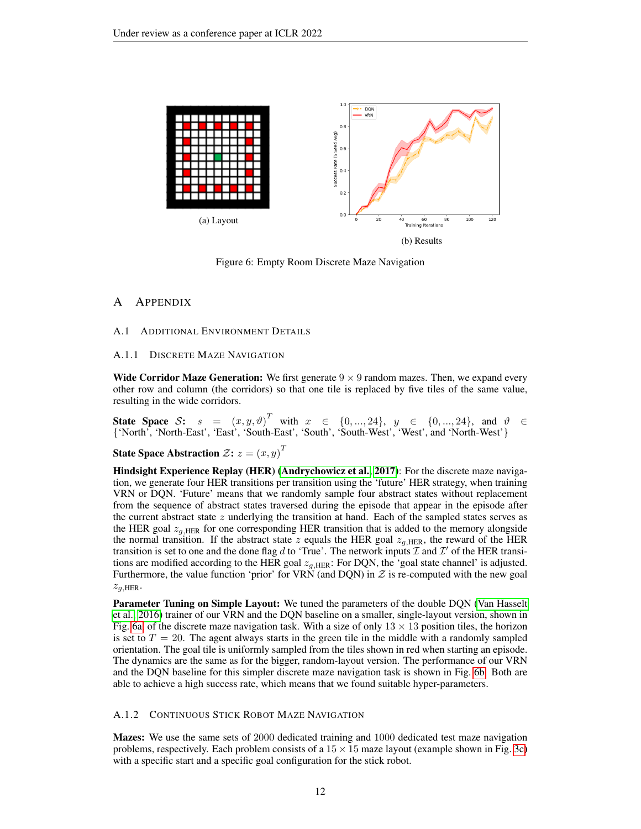<span id="page-11-1"></span>

Figure 6: Empty Room Discrete Maze Navigation

# <span id="page-11-2"></span>A APPENDIX

#### A.1 ADDITIONAL ENVIRONMENT DETAILS

#### <span id="page-11-0"></span>A.1.1 DISCRETE MAZE NAVIGATION

Wide Corridor Maze Generation: We first generate  $9 \times 9$  random mazes. Then, we expand every other row and column (the corridors) so that one tile is replaced by five tiles of the same value, resulting in the wide corridors.

State Space S:  $s = (x, y, \vartheta)^T$  with  $x \in \{0, ..., 24\}$ ,  $y \in \{0, ..., 24\}$ , and  $\vartheta \in$ {'North', 'North-East', 'East', 'South-East', 'South', 'South-West', 'West', and 'North-West'}

State Space Abstraction  $\mathcal{Z} \mathbf{:} \ z = \left( x, y \right)^T$ 

Hindsight Experience Replay (HER) [\(Andrychowicz et al., 2017\)](#page-9-1): For the discrete maze navigation, we generate four HER transitions per transition using the 'future' HER strategy, when training VRN or DQN. 'Future' means that we randomly sample four abstract states without replacement from the sequence of abstract states traversed during the episode that appear in the episode after the current abstract state  $z$  underlying the transition at hand. Each of the sampled states serves as the HER goal  $z_{q,HER}$  for one corresponding HER transition that is added to the memory alongside the normal transition. If the abstract state z equals the HER goal  $z_{q,HER}$ , the reward of the HER transition is set to one and the done flag d to 'True'. The network inputs  $\mathcal I$  and  $\mathcal I'$  of the HER transitions are modified according to the HER goal  $z_{a,HER}$ : For DQN, the 'goal state channel' is adjusted. Furthermore, the value function 'prior' for VRN (and DQN) in  $Z$  is re-computed with the new goal  $z_{q, \text{HER}}$ .

Parameter Tuning on Simple Layout: We tuned the parameters of the double DQN [\(Van Hasselt](#page-10-7) [et al., 2016\)](#page-10-7) trainer of our VRN and the DQN baseline on a smaller, single-layout version, shown in Fig. [6a,](#page-11-1) of the discrete maze navigation task. With a size of only  $13 \times 13$  position tiles, the horizon is set to  $T = 20$ . The agent always starts in the green tile in the middle with a randomly sampled orientation. The goal tile is uniformly sampled from the tiles shown in red when starting an episode. The dynamics are the same as for the bigger, random-layout version. The performance of our VRN and the DQN baseline for this simpler discrete maze navigation task is shown in Fig. [6b.](#page-11-1) Both are able to achieve a high success rate, which means that we found suitable hyper-parameters.

#### A.1.2 CONTINUOUS STICK ROBOT MAZE NAVIGATION

Mazes: We use the same sets of 2000 dedicated training and 1000 dedicated test maze navigation problems, respectively. Each problem consists of a  $15 \times 15$  maze layout (example shown in Fig. [3c\)](#page-6-0) with a specific start and a specific goal configuration for the stick robot.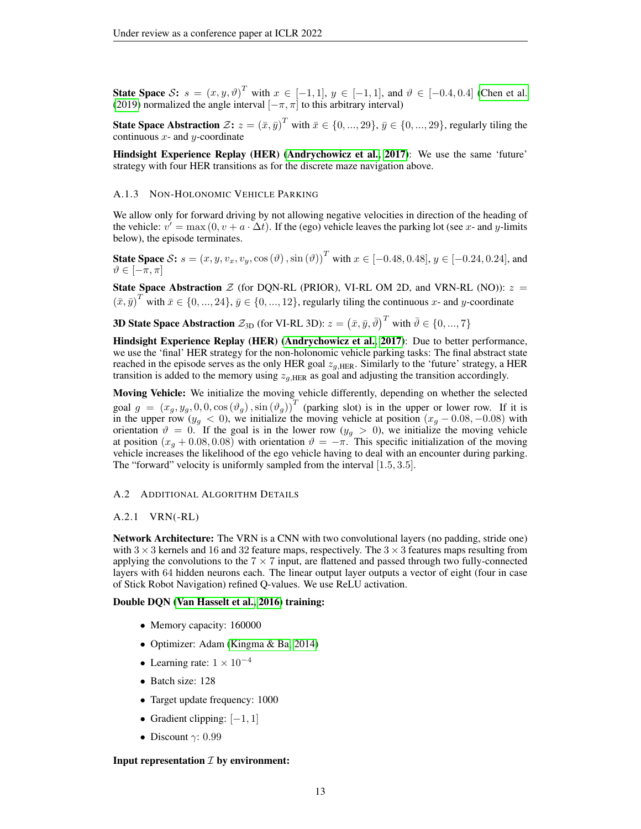State Space S:  $s = (x, y, \vartheta)^T$  with  $x \in [-1, 1], y \in [-1, 1]$ , and  $\vartheta \in [-0.4, 0.4]$  [\(Chen et al.](#page-9-9) [\(2019\)](#page-9-9) normalized the angle interval  $[-\pi, \pi]$  to this arbitrary interval)

State Space Abstraction  $\mathcal{Z}$ :  $z = (\bar{x}, \bar{y})^T$  with  $\bar{x} \in \{0, ..., 29\}, \bar{y} \in \{0, ..., 29\}$ , regularly tiling the continuous  $x$ - and  $y$ -coordinate

Hindsight Experience Replay (HER) [\(Andrychowicz et al., 2017\)](#page-9-1): We use the same 'future' strategy with four HER transitions as for the discrete maze navigation above.

#### A.1.3 NON-HOLONOMIC VEHICLE PARKING

We allow only for forward driving by not allowing negative velocities in direction of the heading of the vehicle:  $v' = \max(0, v + a \cdot \Delta t)$ . If the (ego) vehicle leaves the parking lot (see x- and y-limits below), the episode terminates.

**State Space** S:  $s = (x, y, v_x, v_y, \cos(\theta), \sin(\theta))^T$  with  $x \in [-0.48, 0.48], y \in [-0.24, 0.24]$ , and  $\vartheta \in [-\pi, \pi]$ 

State Space Abstraction  $Z$  (for DQN-RL (PRIOR), VI-RL OM 2D, and VRN-RL (NO)):  $z =$  $(\bar{x}, \bar{y})^T$  with  $\bar{x} \in \{0, ..., 24\}, \bar{y} \in \{0, ..., 12\}$ , regularly tiling the continuous x- and y-coordinate

**3D State Space Abstraction**  $\mathcal{Z}_{3D}$  (for VI-RL 3D):  $z=\left(\bar{x},\bar{y},\bar{\vartheta}\right)^T$  with  $\bar{\vartheta}\in\{0,...,7\}$ 

Hindsight Experience Replay (HER) [\(Andrychowicz et al., 2017\)](#page-9-1): Due to better performance, we use the 'final' HER strategy for the non-holonomic vehicle parking tasks: The final abstract state reached in the episode serves as the only HER goal  $z_{q,HER}$ . Similarly to the 'future' strategy, a HER transition is added to the memory using  $z_{q,\text{HER}}$  as goal and adjusting the transition accordingly.

Moving Vehicle: We initialize the moving vehicle differently, depending on whether the selected goal  $g = (x_g, y_g, 0, 0, \cos(\vartheta_g), \sin(\vartheta_g))^T$  (parking slot) is in the upper or lower row. If it is in the upper row ( $y_g < 0$ ), we initialize the moving vehicle at position  $(x_g - 0.08, -0.08)$  with orientation  $\vartheta = 0$ . If the goal is in the lower row  $(y_g > 0)$ , we initialize the moving vehicle at position  $(x_g + 0.08, 0.08)$  with orientation  $\vartheta = -\pi$ . This specific initialization of the moving vehicle increases the likelihood of the ego vehicle having to deal with an encounter during parking. The "forward" velocity is uniformly sampled from the interval [1.5, 3.5].

#### <span id="page-12-1"></span>A.2 ADDITIONAL ALGORITHM DETAILS

#### <span id="page-12-0"></span>A.2.1 VRN(-RL)

Network Architecture: The VRN is a CNN with two convolutional layers (no padding, stride one) with  $3 \times 3$  kernels and 16 and 32 feature maps, respectively. The  $3 \times 3$  features maps resulting from applying the convolutions to the  $7 \times 7$  input, are flattened and passed through two fully-connected layers with 64 hidden neurons each. The linear output layer outputs a vector of eight (four in case of Stick Robot Navigation) refined Q-values. We use ReLU activation.

#### Double DQN [\(Van Hasselt et al., 2016\)](#page-10-7) training:

- Memory capacity: 160000
- Optimizer: Adam [\(Kingma & Ba, 2014\)](#page-9-15)
- Learning rate:  $1 \times 10^{-4}$
- Batch size: 128
- Target update frequency: 1000
- Gradient clipping:  $[-1, 1]$
- Discount  $\gamma$ : 0.99

#### Input representation  $I$  by environment: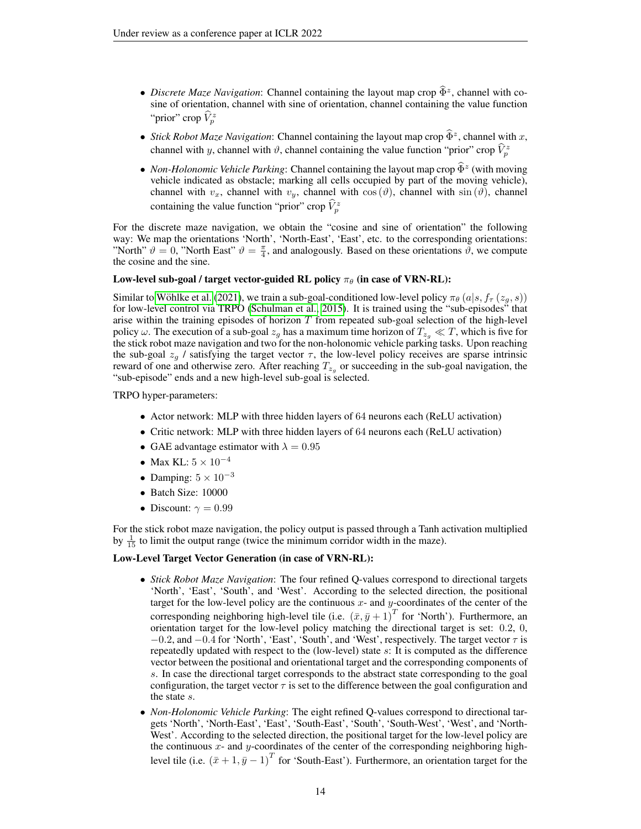- *Discrete Maze Navigation*: Channel containing the layout map crop  $\hat{\Phi}^z$ , channel with co-<br>since of orientation, showed with sine of orientation, showed containing the value function sine of orientation, channel with sine of orientation, channel containing the value function "prior" crop  $\widehat{V}_p^z$
- *Stick Robot Maze Navigation*: Channel containing the layout map crop  $\widehat{\Phi}^z$ , channel with x, channel with y, channel with  $\vartheta$ , channel containing the value function "prior" crop  $\hat{V}_p^z$
- *Non-Holonomic Vehicle Parking*: Channel containing the layout map crop  $\widehat{\Phi}^z$  (with moving vehicle indicated as obstacle; marking all cells occupied by part of the moving vehicle), channel with  $v_x$ , channel with  $v_y$ , channel with  $\cos(\theta)$ , channel with  $\sin(\theta)$ , channel containing the value function "prior" crop  $\hat{V}_p^z$

For the discrete maze navigation, we obtain the "cosine and sine of orientation" the following way: We map the orientations 'North', 'North-East', 'East', etc. to the corresponding orientations: "North"  $\vartheta = 0$ , "North East"  $\vartheta = \frac{\pi}{4}$ , and analogously. Based on these orientations  $\vartheta$ , we compute the cosine and the sine.

#### Low-level sub-goal / target vector-guided RL policy  $\pi_{\theta}$  (in case of VRN-RL):

Similar to Wöhlke et al. [\(2021\)](#page-10-5), we train a sub-goal-conditioned low-level policy  $\pi_{\theta}(a|s, f_{\tau}(z_q, s))$ for low-level control via TRPO [\(Schulman et al., 2015\)](#page-10-8). It is trained using the "sub-episodes" that arise within the training episodes of horizon  $T$  from repeated sub-goal selection of the high-level policy  $\omega$ . The execution of a sub-goal  $z_q$  has a maximum time horizon of  $T_{z_q} \ll T$ , which is five for the stick robot maze navigation and two for the non-holonomic vehicle parking tasks. Upon reaching the sub-goal  $z_q$  / satisfying the target vector  $\tau$ , the low-level policy receives are sparse intrinsic reward of one and otherwise zero. After reaching  $T_{z_g}$  or succeeding in the sub-goal navigation, the "sub-episode" ends and a new high-level sub-goal is selected.

TRPO hyper-parameters:

- Actor network: MLP with three hidden layers of 64 neurons each (ReLU activation)
- Critic network: MLP with three hidden layers of 64 neurons each (ReLU activation)
- GAE advantage estimator with  $\lambda = 0.95$
- Max KL:  $5 \times 10^{-4}$
- Damping:  $5 \times 10^{-3}$
- Batch Size: 10000
- Discount:  $\gamma = 0.99$

For the stick robot maze navigation, the policy output is passed through a Tanh activation multiplied by  $\frac{1}{15}$  to limit the output range (twice the minimum corridor width in the maze).

#### Low-Level Target Vector Generation (in case of VRN-RL):

- *Stick Robot Maze Navigation*: The four refined Q-values correspond to directional targets 'North', 'East', 'South', and 'West'. According to the selected direction, the positional target for the low-level policy are the continuous  $x$ - and  $y$ -coordinates of the center of the corresponding neighboring high-level tile (i.e.  $(\bar{x}, \bar{y} + 1)^T$  for 'North'). Furthermore, an orientation target for the low-level policy matching the directional target is set: 0.2, 0,  $-0.2$ , and  $-0.4$  for 'North', 'East', 'South', and 'West', respectively. The target vector  $\tau$  is repeatedly updated with respect to the (low-level) state s: It is computed as the difference vector between the positional and orientational target and the corresponding components of s. In case the directional target corresponds to the abstract state corresponding to the goal configuration, the target vector  $\tau$  is set to the difference between the goal configuration and the state s.
- *Non-Holonomic Vehicle Parking*: The eight refined Q-values correspond to directional targets 'North', 'North-East', 'East', 'South-East', 'South', 'South-West', 'West', and 'North-West'. According to the selected direction, the positional target for the low-level policy are the continuous  $x$ - and  $y$ -coordinates of the center of the corresponding neighboring highlevel tile (i.e.  $(\bar{x} + 1, \bar{y} - 1)^T$  for 'South-East'). Furthermore, an orientation target for the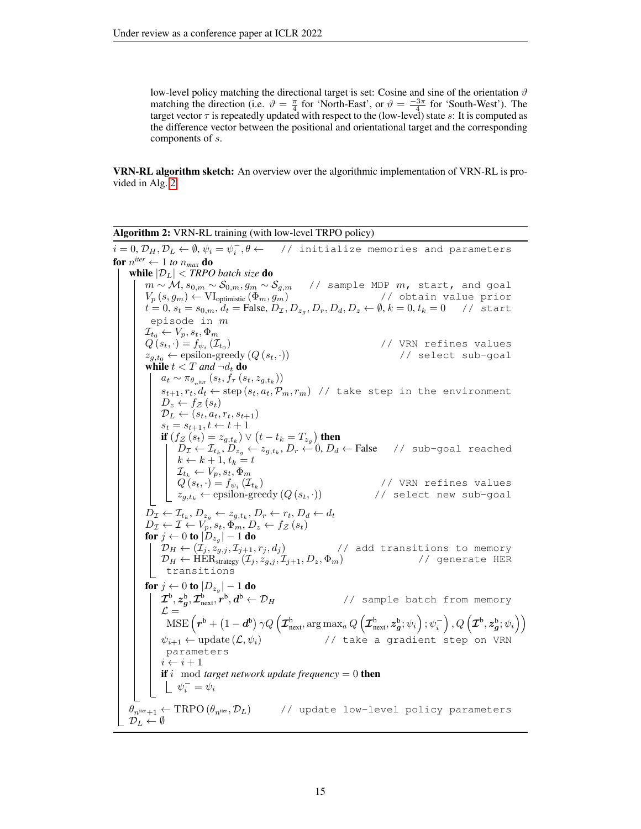low-level policy matching the directional target is set: Cosine and sine of the orientation  $\vartheta$ matching the direction (i.e.  $\vartheta = \frac{\pi}{4}$  for 'North-East', or  $\vartheta = \frac{-3\pi}{4}$  for 'South-West'). The target vector  $\tau$  is repeatedly updated with respect to the (low-level) state s: It is computed as the difference vector between the positional and orientational target and the corresponding components of s.

VRN-RL algorithm sketch: An overview over the algorithmic implementation of VRN-RL is provided in Alg. [2.](#page-14-0)

<span id="page-14-0"></span>Algorithm 2: VRN-RL training (with low-level TRPO policy)  $i=0, \mathcal{D}_H, \mathcal{D}_L \leftarrow \emptyset, \psi_i=\psi_i^-, \theta \leftarrow \quad \quad \text{/} \quad \text{initialize memories and parameters}$ for  $n^{iter} \leftarrow 1$  *to*  $n_{max}$  *do* while |DL| < *TRPO batch size* do  $m \sim \mathcal{M}, s_{0,m} \sim \mathcal{S}_{0,m}, g_m \sim \mathcal{S}_{g,m}$  // sample MDP  $m$ , start, and goal  $V_p\left(s, g_m\right) \leftarrow \text{VI}_{\text{optimistic}}\left(\Phi_m, g_m\right) \hspace{2.5cm}\left/\left/\right. \right. \right. \hspace{2.5cm}\left. \right)$  obtain value prior  $t = 0, s_t = s_{0,m}, d_t = \text{False}, D_{\mathcal{I}}, D_{z_g}, D_r, D_d, D_z \leftarrow \emptyset, k = 0, t_k = 0 \quad \text{if start}$ episode in m  $\mathcal{I}_{t_0} \leftarrow V_p, s_t, \Phi_m$  $Q(s_t, \cdot) = f_{\psi_i}(\mathcal{I}_{t_0})$ ) // VRN refines values  $z_{q,t_0} \leftarrow \text{epsilon}(\mathcal{Q}(s_t, \cdot))$  // select sub-goal while  $t < T$  and  $\neg d_t$  do  $a_t \sim \pi_{\theta_{n^{\text{iter}}}}\left(s_t, f_{\tau}\left(s_t, z_{g,t_k}\right)\right)$  $s_{t+1}, r_t, d_t \leftarrow \text{step}(s_t, a_t, \mathcal{P}_m, r_m)$  // take step in the environment  $D_z \leftarrow f_{\mathcal{Z}}(s_t)$  $\mathcal{D}_L \leftarrow (s_t, a_t, r_t, s_{t+1})$  $s_t = s_{t+1}, t \leftarrow t + 1$ if  $(f_{\mathcal{Z}}\left(s_{t}\right)=z_{g,t_{k}})\vee\left(t-t_{k}=T_{z_{g}}\right)$  then  $D_\mathcal{I} \leftarrow \mathcal{I}_{t_k}, D_{z_g} \leftarrow z_{g,t_k}, D_r \leftarrow 0, D_d \leftarrow \textsf{False}$  // sub-goal reached  $k \leftarrow k + 1, t_k = t$  $\mathcal{I}_{t_k} \leftarrow V_p, s_t, \Phi_m$  $Q(s_t, \cdot) = f_{\psi_i}(\mathcal{I}_{t_k})$  $\begin{array}{|l|l|} Q\left(s_{t}, \cdot\right)=f_{\psi_{i}}\left(\mathcal{I}_{t_{k}}\right) & \text{ // VRN refines values} \ z_{g,t_{k}} \leftarrow \text{epsilon-reg of } \left(Q\left(s_{t}, \cdot\right)\right) & \text{ // select new sub–goal} \end{array}$  $\frac{1}{2}$  // select new sub-goal  $D_{\mathcal{I}} \leftarrow \mathcal{I}_{t_k}, D_{z_g} \leftarrow z_{g,t_k}, D_r \leftarrow r_t, D_d \leftarrow d_t$  $D_{\mathcal{I}} \leftarrow \mathcal{I} \leftarrow V_p, s_t, \Phi_m, D_z \leftarrow f_{\mathcal{Z}}(s_t)$ for  $j \leftarrow 0$  to  $|D_{z_{g}}| - 1$  do  $D_H \leftarrow (\dot{\mathcal{I}}_j, \dot{z}_{g,j}, \mathcal{I}_{j+1}, r_j, d_j)$  // add transitions to memory  $\mathcal{D}_H \leftarrow \overleftrightarrow{\text{HER}}_{\text{strategy}}^{3,3,6}(\mathcal{I}_j, z_{g,j}, \mathcal{I}_{j+1}, D_z, \Phi_m)$  // generate HER | transitions for  $j \leftarrow 0$  to  $|D_{z_{g}}| - 1$  do  $\bm{\mathcal{I}}^{\rm b}, \bm{z}_{\bm{g}}^{\rm b}, \bm{\mathcal{I}}_{\rm next}^{\rm b}, \overset{~}{r}^{\rm b}, \bm{d}$ // sample batch from memory  $\mathcal{L} =$  $\text{MSE}\left(\boldsymbol{r}^{\text{b}} + \left(1-\boldsymbol{d}^{\text{b}}\right)\gamma Q\left(\boldsymbol{\mathcal{I}}_{\text{next}}^{\text{b}},\arg\max_{a}Q\left(\boldsymbol{\mathcal{I}}_{\text{next}}^{\text{b}},\boldsymbol{z}_{\boldsymbol{g}}^{\text{b}};\psi_{i}\right);\psi_{i}^{-}\right),Q\left(\boldsymbol{\mathcal{I}}^{\text{b}},\boldsymbol{z}_{\boldsymbol{g}}^{\text{b}};\psi_{i}\right)\right)$  $\psi_{i+1} \leftarrow \text{update}\left(\mathcal{L}, \psi_i\right) \hspace{2.5cm} \text{ // take a gradient step on VRN}$ parameters  $i \leftarrow i + 1$ **if** i mod *target network update frequency* = 0 **then**  $\psi_i^- = \psi_i$  $\theta_{n^{iter}+1} \leftarrow \text{TRPO}(\theta_{n^{iter}}, \mathcal{D}_L)$  // update low-level policy parameters  $\mathcal{D}_L \leftarrow \emptyset$